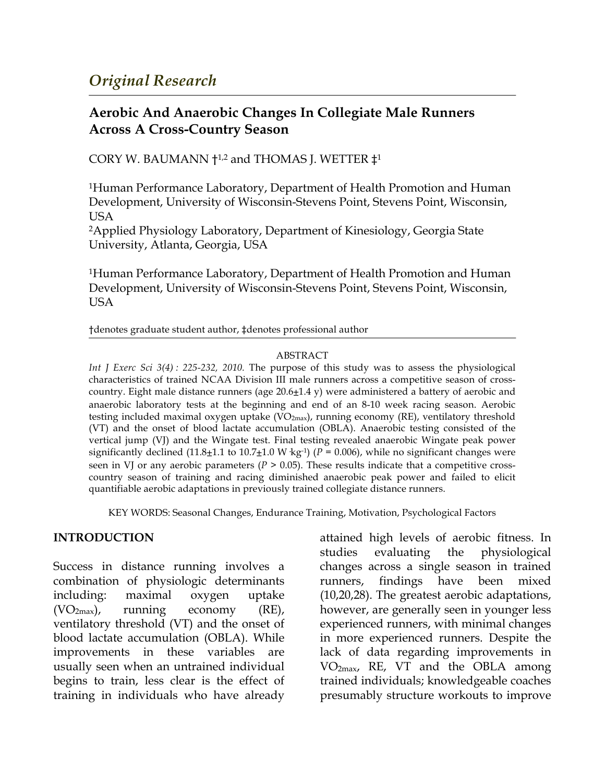# **Aerobic And Anaerobic Changes In Collegiate Male Runners Across A Cross-Country Season**

CORY W. BAUMANN  $\dagger$ <sup>1,2</sup> and THOMAS J. WETTER  $\ddagger$ <sup>1</sup>

1Human Performance Laboratory, Department of Health Promotion and Human Development, University of Wisconsin-Stevens Point, Stevens Point, Wisconsin, USA

2Applied Physiology Laboratory, Department of Kinesiology, Georgia State University, Atlanta, Georgia, USA

1Human Performance Laboratory, Department of Health Promotion and Human Development, University of Wisconsin-Stevens Point, Stevens Point, Wisconsin, USA

†denotes graduate student author, ‡denotes professional author

#### ABSTRACT

*Int J Exerc Sci 3(4) : 225-232, 2010.* The purpose of this study was to assess the physiological characteristics of trained NCAA Division III male runners across a competitive season of crosscountry. Eight male distance runners (age  $20.6 \pm 1.4$  y) were administered a battery of aerobic and anaerobic laboratory tests at the beginning and end of an 8-10 week racing season. Aerobic testing included maximal oxygen uptake  $(VO_{2max})$ , running economy (RE), ventilatory threshold (VT) and the onset of blood lactate accumulation (OBLA). Anaerobic testing consisted of the vertical jump (VJ) and the Wingate test. Final testing revealed anaerobic Wingate peak power significantly declined (11.8 $\pm$ 1.1 to 10.7 $\pm$ 1.0 W kg<sup>-1</sup>) (*P* = 0.006), while no significant changes were seen in VJ or any aerobic parameters ( $P > 0.05$ ). These results indicate that a competitive crosscountry season of training and racing diminished anaerobic peak power and failed to elicit quantifiable aerobic adaptations in previously trained collegiate distance runners.

KEY WORDS: Seasonal Changes, Endurance Training, Motivation, Psychological Factors

## **INTRODUCTION**

Success in distance running involves a combination of physiologic determinants including: maximal oxygen uptake  $(VO<sub>2max</sub>)$ , running economy  $(RE)$ , ventilatory threshold (VT) and the onset of blood lactate accumulation (OBLA). While improvements in these variables are usually seen when an untrained individual begins to train, less clear is the effect of training in individuals who have already attained high levels of aerobic fitness. In studies evaluating the physiological changes across a single season in trained runners, findings have been mixed (10,20,28). The greatest aerobic adaptations, however, are generally seen in younger less experienced runners, with minimal changes in more experienced runners. Despite the lack of data regarding improvements in VO2max, RE, VT and the OBLA among trained individuals; knowledgeable coaches presumably structure workouts to improve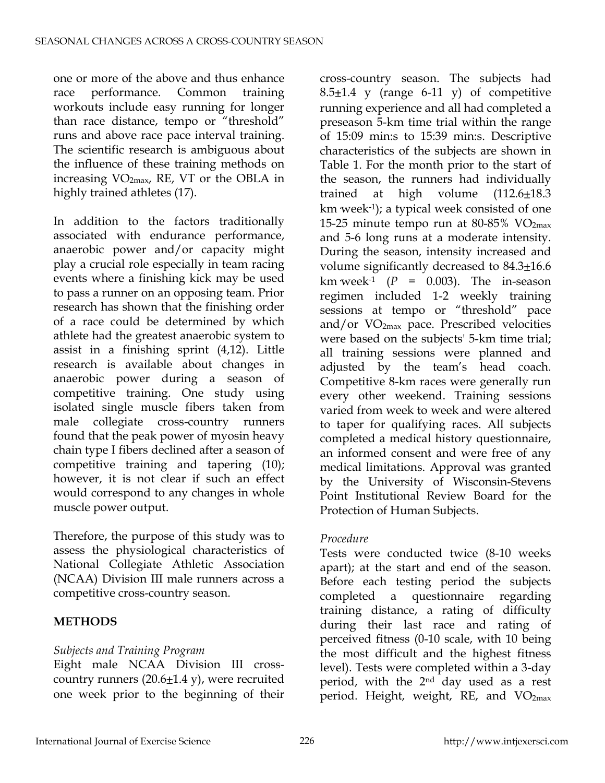one or more of the above and thus enhance race performance. Common training workouts include easy running for longer than race distance, tempo or "threshold" runs and above race pace interval training. The scientific research is ambiguous about the influence of these training methods on increasing VO2max, RE, VT or the OBLA in highly trained athletes (17).

In addition to the factors traditionally associated with endurance performance, anaerobic power and/or capacity might play a crucial role especially in team racing events where a finishing kick may be used to pass a runner on an opposing team. Prior research has shown that the finishing order of a race could be determined by which athlete had the greatest anaerobic system to assist in a finishing sprint (4,12). Little research is available about changes in anaerobic power during a season of competitive training. One study using isolated single muscle fibers taken from male collegiate cross-country runners found that the peak power of myosin heavy chain type I fibers declined after a season of competitive training and tapering (10); however, it is not clear if such an effect would correspond to any changes in whole muscle power output.

Therefore, the purpose of this study was to assess the physiological characteristics of National Collegiate Athletic Association (NCAA) Division III male runners across a competitive cross-country season.

## **METHODS**

## *Subjects and Training Program*

Eight male NCAA Division III crosscountry runners (20.6±1.4 y), were recruited one week prior to the beginning of their

cross-country season. The subjects had  $8.5\pm1.4$  y (range 6-11 y) of competitive running experience and all had completed a preseason 5-km time trial within the range of 15:09 min:s to 15:39 min:s. Descriptive characteristics of the subjects are shown in Table 1. For the month prior to the start of the season, the runners had individually trained at high volume  $(112.6 \pm 18.3)$ km week-1); a typical week consisted of one 15-25 minute tempo run at  $80-85\%$  VO<sub>2max</sub> and 5-6 long runs at a moderate intensity. During the season, intensity increased and volume significantly decreased to 84.3±16.6 km week<sup>-1</sup> ( $P = 0.003$ ). The in-season regimen included 1-2 weekly training sessions at tempo or "threshold" pace and/or  $VO<sub>2max</sub>$  pace. Prescribed velocities were based on the subjects' 5-km time trial; all training sessions were planned and adjusted by the team's head coach. Competitive 8-km races were generally run every other weekend. Training sessions varied from week to week and were altered to taper for qualifying races. All subjects completed a medical history questionnaire, an informed consent and were free of any medical limitations. Approval was granted by the University of Wisconsin-Stevens Point Institutional Review Board for the Protection of Human Subjects.

## *Procedure*

Tests were conducted twice (8-10 weeks apart); at the start and end of the season. Before each testing period the subjects completed a questionnaire regarding training distance, a rating of difficulty during their last race and rating of perceived fitness (0-10 scale, with 10 being the most difficult and the highest fitness level). Tests were completed within a 3-day period, with the 2nd day used as a rest period. Height, weight, RE, and VO<sub>2max</sub>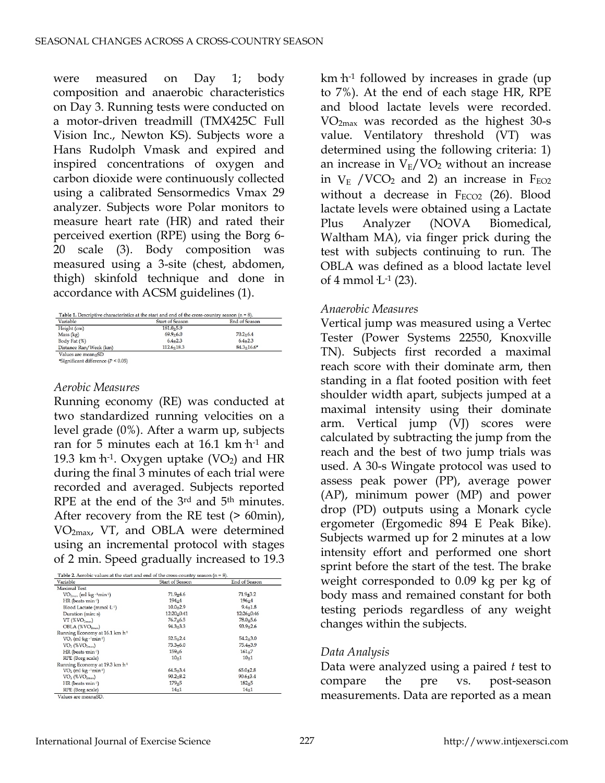were measured on Day 1; body composition and anaerobic characteristics on Day 3. Running tests were conducted on a motor-driven treadmill (TMX425C Full Vision Inc., Newton KS). Subjects wore a Hans Rudolph Vmask and expired and inspired concentrations of oxygen and carbon dioxide were continuously collected using a calibrated Sensormedics Vmax 29 analyzer. Subjects wore Polar monitors to measure heart rate (HR) and rated their perceived exertion (RPE) using the Borg 6- 20 scale (3). Body composition was measured using a 3-site (chest, abdomen, thigh) skinfold technique and done in accordance with ACSM guidelines (1).

| Variable               | <b>Start of Season</b> | End of Season  |
|------------------------|------------------------|----------------|
| Height (cm)            | $181.0 + 5.9$          |                |
| Mass (kg)              | $69.9 + 6.0$           | $70.2 + 6.4$   |
| Body Fat (%)           | $6.4 + 2.3$            | $6.4 + 2.3$    |
| Distance Ran/Week (km) | $112.6 + 18.3$         | $84.3 + 16.6*$ |

\*Significant difference ( $P < 0.05$ )

#### *Aerobic Measures*

Running economy (RE) was conducted at two standardized running velocities on a level grade (0%). After a warm up, subjects ran for 5 minutes each at 16.1 km h<sup>-1</sup> and 19.3 km  $h^{-1}$ . Oxygen uptake (VO<sub>2</sub>) and HR during the final 3 minutes of each trial were recorded and averaged. Subjects reported RPE at the end of the 3<sup>rd</sup> and 5<sup>th</sup> minutes. After recovery from the RE test (> 60min), VO2max, VT, and OBLA were determined using an incremental protocol with stages of 2 min. Speed gradually increased to 19.3

| Variable                                   | <b>Start of Season</b> | End of Season |
|--------------------------------------------|------------------------|---------------|
| Maximal Test                               |                        |               |
| $VO2max$ (ml kg -1min <sup>-1</sup> )      | $71.9 + 4.6$           | $71.9 + 3.2$  |
| $HR$ (beats $min^{-1}$ )                   | $194 + 4$              | $196 + 4$     |
| Blood Lactate (mmol·L-1)                   | $10.0 + 2.9$           | $9.4 + 1.8$   |
| Duration (min: s)                          | 12:20+0:41             | $12:26+0:46$  |
| $VT$ (% $VO2max$ )                         | $76.7 + 6.5$           | $78.0 + 5.6$  |
| OBLA (%VO <sub>2max</sub> )                | $94.3 + 3.3$           | $93.9 + 2.6$  |
| Running Economy at 16.1 km h <sup>-1</sup> |                        |               |
| $VO2$ (ml $kg-1min-1$ )                    | $52.5 + 2.4$           | $54.2 + 3.0$  |
| $VO2$ (% $VO2max$ )                        | $73.3 + 6.0$           | $75.4 + 3.9$  |
| HR (beats min-1)                           | $159 + 6$              | $161 + 7$     |
| RPE (Borg scale)                           | $10 + 1$               | $10 + 1$      |
| Running Economy at 19.3 km h <sup>-1</sup> |                        |               |
| $VO2$ (ml kg $-lmin-1$ )                   | $64.5 + 3.4$           | $65.0 + 2.8$  |
| $VO_2$ (% $VO_{2max}$ )                    | $90.2 + 8.2$           | $90.6 + 3.4$  |
| HR (beats min-1)                           | $179 + 5$              | $182 + 5$     |
| RPE (Borg scale)                           | $14 + 1$               | $14 + 1$      |

km·h-1 followed by increases in grade (up to 7%). At the end of each stage HR, RPE and blood lactate levels were recorded. VO2max was recorded as the highest 30-s value. Ventilatory threshold (VT) was determined using the following criteria: 1) an increase in  $V_E/VO_2$  without an increase in  $V_E$  /VCO<sub>2</sub> and 2) an increase in  $F_{EO2}$ without a decrease in  $F_{ECO2}$  (26). Blood lactate levels were obtained using a Lactate Plus Analyzer (NOVA Biomedical, Waltham MA), via finger prick during the test with subjects continuing to run. The OBLA was defined as a blood lactate level of 4 mmol  $L^{-1}$  (23).

#### *Anaerobic Measures*

Vertical jump was measured using a Vertec Tester (Power Systems 22550, Knoxville TN). Subjects first recorded a maximal reach score with their dominate arm, then standing in a flat footed position with feet shoulder width apart, subjects jumped at a maximal intensity using their dominate arm. Vertical jump (VJ) scores were calculated by subtracting the jump from the reach and the best of two jump trials was used. A 30-s Wingate protocol was used to assess peak power (PP), average power (AP), minimum power (MP) and power drop (PD) outputs using a Monark cycle ergometer (Ergomedic 894 E Peak Bike). Subjects warmed up for 2 minutes at a low intensity effort and performed one short sprint before the start of the test. The brake weight corresponded to 0.09 kg per kg of body mass and remained constant for both testing periods regardless of any weight changes within the subjects.

#### *Data Analysis*

Data were analyzed using a paired *t* test to compare the pre vs. post-season measurements. Data are reported as a mean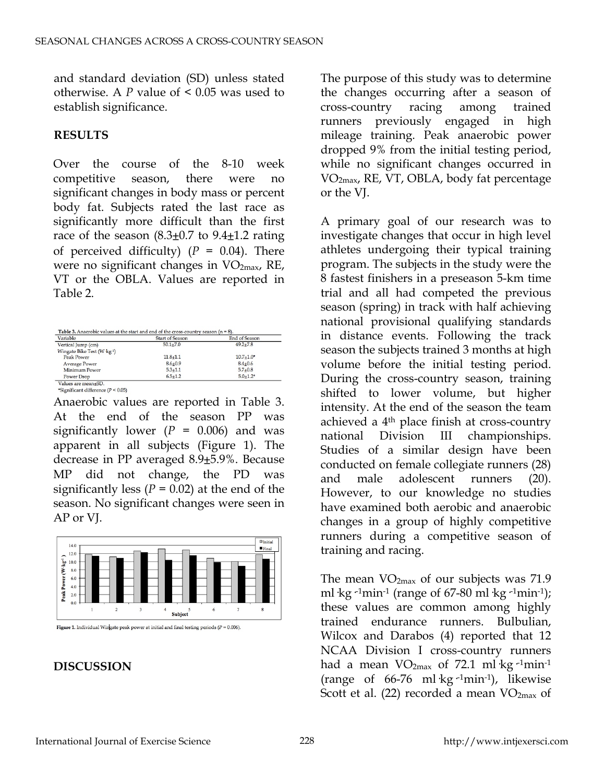and standard deviation (SD) unless stated otherwise. A *P* value of < 0.05 was used to establish significance.

## **RESULTS**

Over the course of the 8-10 week competitive season, there were no significant changes in body mass or percent body fat. Subjects rated the last race as significantly more difficult than the first race of the season  $(8.3\pm0.7)$  to  $9.4\pm1.2$  rating of perceived difficulty)  $(P = 0.04)$ . There were no significant changes in  $VO<sub>2max</sub>$ , RE, VT or the OBLA. Values are reported in Table 2.

| Variable                                 | <b>Start of Season</b> | End of Season |
|------------------------------------------|------------------------|---------------|
| Vertical Jump (cm)                       | $50.1 + 7.0$           | $49.2 + 7.8$  |
| Wingate Bike Test (W ·kg <sup>-1</sup> ) |                        |               |
| Peak Power                               | $11.8 + 1.1$           | $10.7 + 1.0*$ |
| Average Power                            | $8.6 + 0.9$            | $8.4 + 0.6$   |
| Minimum Power                            | $5.3 + 1.1$            | $5.7 + 0.8$   |
| Power Drop                               | $6.5 + 1.2$            | $5.0 + 1.2*$  |

Anaerobic values are reported in Table 3. At the end of the season PP was significantly lower  $(P = 0.006)$  and was apparent in all subjects (Figure 1). The decrease in PP averaged 8.9±5.9%. Because MP did not change, the PD was significantly less ( $P = 0.02$ ) at the end of the season. No significant changes were seen in AP or VJ.



Figure 1. Individual Wingate peak power at initial and final testing periods ( $P = 0.006$ ).

**DISCUSSION**

The purpose of this study was to determine the changes occurring after a season of cross-country racing among trained runners previously engaged in high mileage training. Peak anaerobic power dropped 9% from the initial testing period, while no significant changes occurred in VO2max, RE, VT, OBLA, body fat percentage or the VJ.

A primary goal of our research was to investigate changes that occur in high level athletes undergoing their typical training program. The subjects in the study were the 8 fastest finishers in a preseason 5-km time trial and all had competed the previous season (spring) in track with half achieving national provisional qualifying standards in distance events. Following the track season the subjects trained 3 months at high volume before the initial testing period. During the cross-country season, training shifted to lower volume, but higher intensity. At the end of the season the team achieved a 4th place finish at cross-country national Division III championships. Studies of a similar design have been conducted on female collegiate runners (28) and male adolescent runners (20). However, to our knowledge no studies have examined both aerobic and anaerobic changes in a group of highly competitive runners during a competitive season of training and racing.

The mean  $VO<sub>2max</sub>$  of our subjects was 71.9 ml·kg·<sup>1</sup>min<sup>-1</sup> (range of 67-80 ml·kg·<sup>1</sup>min<sup>-1</sup>); these values are common among highly trained endurance runners. Bulbulian, Wilcox and Darabos (4) reported that 12 NCAA Division I cross-country runners had a mean  $VO<sub>2max</sub>$  of 72.1 ml·kg<sup>-1</sup>min<sup>-1</sup> (range of  $66-76$  ml·kg<sup>-1</sup>min<sup>-1</sup>), likewise Scott et al. (22) recorded a mean  $VO<sub>2max</sub>$  of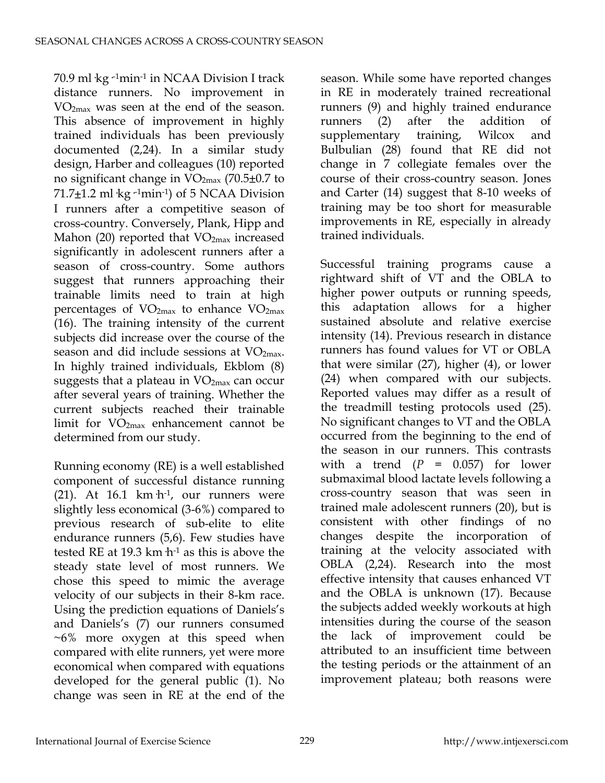70.9 ml·kg·-1min-1 in NCAA Division I track distance runners. No improvement in VO2max was seen at the end of the season. This absence of improvement in highly trained individuals has been previously documented (2,24). In a similar study design, Harber and colleagues (10) reported no significant change in  $VO<sub>2max</sub>$  (70.5 $\pm$ 0.7 to 71.7 $\pm$ 1.2 ml  $kg$ <sup>-1</sup>min<sup>-1</sup>) of 5 NCAA Division I runners after a competitive season of cross-country. Conversely, Plank, Hipp and Mahon (20) reported that VO<sub>2max</sub> increased significantly in adolescent runners after a season of cross-country. Some authors suggest that runners approaching their trainable limits need to train at high percentages of  $VO<sub>2max</sub>$  to enhance  $VO<sub>2max</sub>$ (16). The training intensity of the current subjects did increase over the course of the season and did include sessions at  $VO<sub>2max</sub>$ . In highly trained individuals, Ekblom (8) suggests that a plateau in  $VO<sub>2max</sub>$  can occur after several years of training. Whether the current subjects reached their trainable limit for VO2max enhancement cannot be determined from our study.

Running economy (RE) is a well established component of successful distance running (21). At  $16.1 \text{ km/h}$ <sup>1</sup>, our runners were slightly less economical (3-6%) compared to previous research of sub-elite to elite endurance runners (5,6). Few studies have tested RE at 19.3 km  $h^{-1}$  as this is above the steady state level of most runners. We chose this speed to mimic the average velocity of our subjects in their 8-km race. Using the prediction equations of Daniels's and Daniels's (7) our runners consumed ~6% more oxygen at this speed when compared with elite runners, yet were more economical when compared with equations developed for the general public (1). No change was seen in RE at the end of the

season. While some have reported changes in RE in moderately trained recreational runners (9) and highly trained endurance runners (2) after the addition of supplementary training, Wilcox and Bulbulian (28) found that RE did not change in 7 collegiate females over the course of their cross-country season. Jones and Carter (14) suggest that 8-10 weeks of training may be too short for measurable improvements in RE, especially in already trained individuals.

Successful training programs cause a rightward shift of VT and the OBLA to higher power outputs or running speeds, this adaptation allows for a higher sustained absolute and relative exercise intensity (14). Previous research in distance runners has found values for VT or OBLA that were similar (27), higher (4), or lower (24) when compared with our subjects. Reported values may differ as a result of the treadmill testing protocols used (25). No significant changes to VT and the OBLA occurred from the beginning to the end of the season in our runners. This contrasts with a trend  $(P = 0.057)$  for lower submaximal blood lactate levels following a cross-country season that was seen in trained male adolescent runners (20), but is consistent with other findings of no changes despite the incorporation of training at the velocity associated with OBLA (2,24). Research into the most effective intensity that causes enhanced VT and the OBLA is unknown (17). Because the subjects added weekly workouts at high intensities during the course of the season the lack of improvement could be attributed to an insufficient time between the testing periods or the attainment of an improvement plateau; both reasons were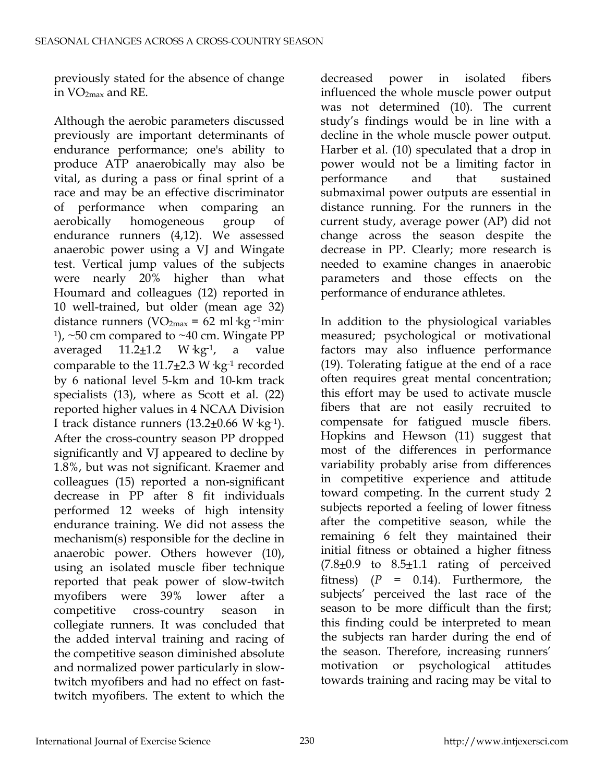previously stated for the absence of change in VO2max and RE.

Although the aerobic parameters discussed previously are important determinants of endurance performance; one's ability to produce ATP anaerobically may also be vital, as during a pass or final sprint of a race and may be an effective discriminator of performance when comparing an aerobically homogeneous group of endurance runners (4,12). We assessed anaerobic power using a VJ and Wingate test. Vertical jump values of the subjects were nearly 20% higher than what Houmard and colleagues (12) reported in 10 well-trained, but older (mean age 32) distance runners (VO<sub>2max</sub> = 62 ml ·kg <sup>-1</sup>min- $1$ ), ~50 cm compared to ~40 cm. Wingate PP averaged  $11.2 \pm 1.2$  W·kg<sup>-1</sup>, a value comparable to the  $11.7\pm2.3$  W  $kg^{-1}$  recorded by 6 national level 5-km and 10-km track specialists (13), where as Scott et al. (22) reported higher values in 4 NCAA Division I track distance runners  $(13.2 \pm 0.66 \text{ W kg}^{-1})$ . After the cross-country season PP dropped significantly and VJ appeared to decline by 1.8%, but was not significant. Kraemer and colleagues (15) reported a non-significant decrease in PP after 8 fit individuals performed 12 weeks of high intensity endurance training. We did not assess the mechanism(s) responsible for the decline in anaerobic power. Others however (10), using an isolated muscle fiber technique reported that peak power of slow-twitch myofibers were 39% lower after a competitive cross-country season in collegiate runners. It was concluded that the added interval training and racing of the competitive season diminished absolute and normalized power particularly in slowtwitch myofibers and had no effect on fasttwitch myofibers. The extent to which the

decreased power in isolated fibers influenced the whole muscle power output was not determined (10). The current study's findings would be in line with a decline in the whole muscle power output. Harber et al. (10) speculated that a drop in power would not be a limiting factor in performance and that sustained submaximal power outputs are essential in distance running. For the runners in the current study, average power (AP) did not change across the season despite the decrease in PP. Clearly; more research is needed to examine changes in anaerobic parameters and those effects on the performance of endurance athletes.

In addition to the physiological variables measured; psychological or motivational factors may also influence performance (19). Tolerating fatigue at the end of a race often requires great mental concentration; this effort may be used to activate muscle fibers that are not easily recruited to compensate for fatigued muscle fibers. Hopkins and Hewson (11) suggest that most of the differences in performance variability probably arise from differences in competitive experience and attitude toward competing. In the current study 2 subjects reported a feeling of lower fitness after the competitive season, while the remaining 6 felt they maintained their initial fitness or obtained a higher fitness  $(7.8\pm0.9)$  to  $8.5\pm1.1$  rating of perceived fitness) (*P* = 0.14). Furthermore, the subjects' perceived the last race of the season to be more difficult than the first; this finding could be interpreted to mean the subjects ran harder during the end of the season. Therefore, increasing runners' motivation or psychological attitudes towards training and racing may be vital to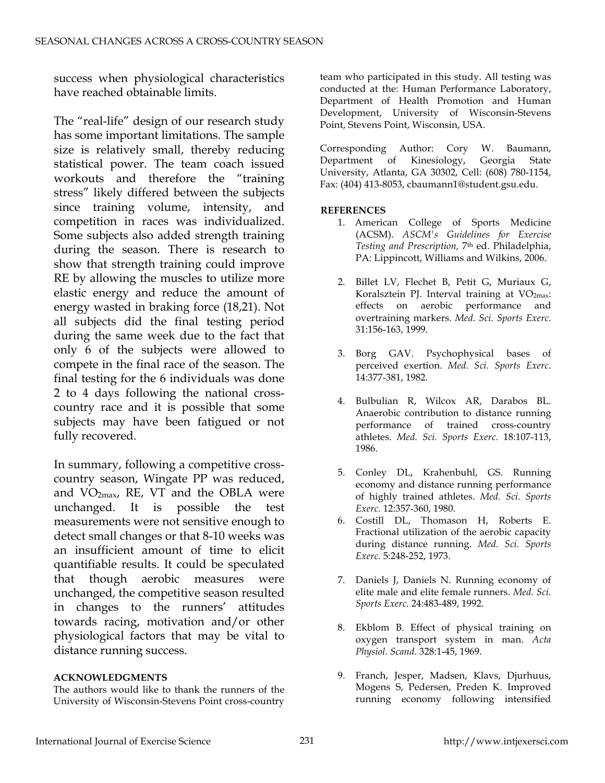success when physiological characteristics have reached obtainable limits.

The "real-life" design of our research study has some important limitations. The sample size is relatively small, thereby reducing statistical power. The team coach issued workouts and therefore the "training stress" likely differed between the subjects since training volume, intensity, and competition in races was individualized. Some subjects also added strength training during the season. There is research to show that strength training could improve RE by allowing the muscles to utilize more elastic energy and reduce the amount of energy wasted in braking force (18,21). Not all subjects did the final testing period during the same week due to the fact that only 6 of the subjects were allowed to compete in the final race of the season. The final testing for the 6 individuals was done 2 to 4 days following the national crosscountry race and it is possible that some subjects may have been fatigued or not fully recovered.

In summary, following a competitive crosscountry season, Wingate PP was reduced, and  $VO<sub>2max</sub>$ , RE, VT and the OBLA were unchanged. It is possible the test measurements were not sensitive enough to detect small changes or that 8-10 weeks was an insufficient amount of time to elicit quantifiable results. It could be speculated that though aerobic measures were unchanged, the competitive season resulted in changes to the runners' attitudes towards racing, motivation and/or other physiological factors that may be vital to distance running success.

#### **ACKNOWLEDGMENTS**

The authors would like to thank the runners of the University of Wisconsin-Stevens Point cross-country team who participated in this study. All testing was conducted at the: Human Performance Laboratory, Department of Health Promotion and Human Development, University of Wisconsin-Stevens Point, Stevens Point, Wisconsin, USA.

Corresponding Author: Cory W. Baumann, Department of Kinesiology, Georgia State University, Atlanta, GA 30302, Cell: (608) 780-1154, Fax: (404) 413-8053, cbaumann1@student.gsu.edu.

#### **REFERENCES**

- 1. American College of Sports Medicine (ACSM). *ASCM's Guidelines for Exercise Testing and Prescription,* 7th ed. Philadelphia, PA: Lippincott, Williams and Wilkins, 2006.
- 2. Billet LV, Flechet B, Petit G, Muriaux G, Koralsztein PJ. Interval training at VO<sub>2max</sub>: effects on aerobic performance and overtraining markers. *Med. Sci. Sports Exerc.* 31:156-163, 1999.
- 3. Borg GAV. Psychophysical bases of perceived exertion. *Med. Sci. Sports Exerc.* 14:377-381, 1982.
- 4. Bulbulian R, Wilcox AR, Darabos BL. Anaerobic contribution to distance running performance of trained cross-country athletes. *Med. Sci. Sports Exerc.* 18:107-113, 1986.
- 5. Conley DL, Krahenbuhl, GS. Running economy and distance running performance of highly trained athletes. *Med. Sci. Sports Exerc.* 12:357-360, 1980.
- 6. Costill DL, Thomason H, Roberts E. Fractional utilization of the aerobic capacity during distance running. *Med. Sci. Sports Exerc.* 5:248-252, 1973.
- 7. Daniels J, Daniels N. Running economy of elite male and elite female runners. *Med. Sci. Sports Exerc.* 24:483-489, 1992.
- 8. Ekblom B. Effect of physical training on oxygen transport system in man. *Acta Physiol. Scand.* 328:1-45, 1969.
- 9. Franch, Jesper, Madsen, Klavs, Djurhuus, Mogens S, Pedersen, Preden K. Improved running economy following intensified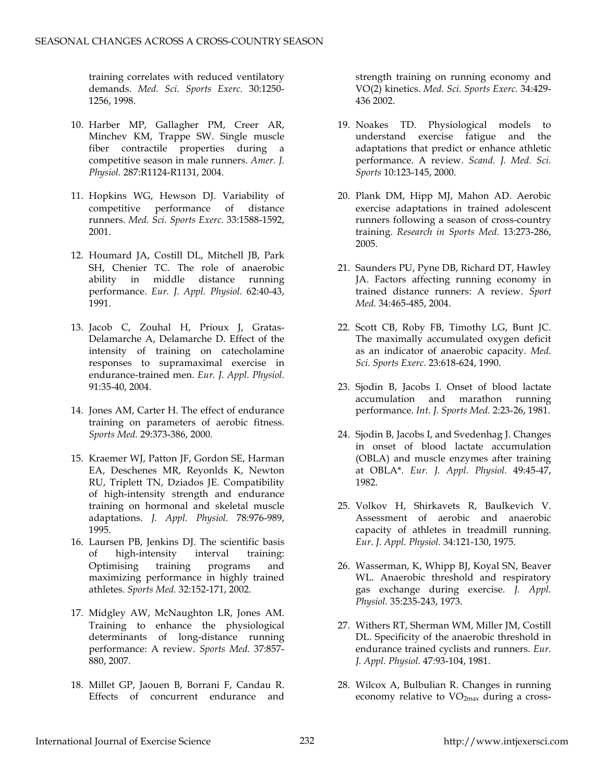training correlates with reduced ventilatory demands. *Med. Sci. Sports Exerc.* 30:1250- 1256, 1998.

- 10. Harber MP, Gallagher PM, Creer AR, Minchev KM, Trappe SW. Single muscle fiber contractile properties during a competitive season in male runners. *Amer. J. Physiol.* 287:R1124-R1131, 2004.
- 11. Hopkins WG, Hewson DJ. Variability of competitive performance of distance runners. *Med. Sci. Sports Exerc.* 33:1588-1592, 2001.
- 12. Houmard JA, Costill DL, Mitchell JB, Park SH, Chenier TC. The role of anaerobic ability in middle distance running performance. *Eur. J. Appl. Physiol.* 62:40-43, 1991.
- 13. Jacob C, Zouhal H, Prioux J, Gratas-Delamarche A, Delamarche D. Effect of the intensity of training on catecholamine responses to supramaximal exercise in endurance-trained men. *Eur. J. Appl. Physiol.* 91:35-40, 2004.
- 14. Jones AM, Carter H. The effect of endurance training on parameters of aerobic fitness. *Sports Med.* 29:373-386, 2000.
- 15. Kraemer WJ, Patton JF, Gordon SE, Harman EA, Deschenes MR, Reyonlds K, Newton RU, Triplett TN, Dziados JE. Compatibility of high-intensity strength and endurance training on hormonal and skeletal muscle adaptations. *J. Appl. Physiol.* 78:976-989, 1995.
- 16. Laursen PB, Jenkins DJ. The scientific basis of high-intensity interval training: Optimising training programs and maximizing performance in highly trained athletes. *Sports Med.* 32:152-171, 2002.
- 17. Midgley AW, McNaughton LR, Jones AM. Training to enhance the physiological determinants of long-distance running performance: A review. *Sports Med.* 37:857- 880, 2007.
- 18. Millet GP, Jaouen B, Borrani F, Candau R. Effects of concurrent endurance and

strength training on running economy and VO(2) kinetics. *Med. Sci. Sports Exerc.* 34:429- 436 2002.

- 19. Noakes TD. Physiological models to understand exercise fatigue and the adaptations that predict or enhance athletic performance. A review. *Scand. J. Med. Sci. Sports* 10:123-145, 2000.
- 20. Plank DM, Hipp MJ, Mahon AD. Aerobic exercise adaptations in trained adolescent runners following a season of cross-country training. *Research in Sports Med.* 13:273-286, 2005.
- 21. Saunders PU, Pyne DB, Richard DT, Hawley JA. Factors affecting running economy in trained distance runners: A review. *Sport Med.* 34:465-485, 2004.
- 22. Scott CB, Roby FB, Timothy LG, Bunt JC. The maximally accumulated oxygen deficit as an indicator of anaerobic capacity. *Med. Sci. Sports Exerc.* 23:618-624, 1990.
- 23. Sjodin B, Jacobs I. Onset of blood lactate accumulation and marathon running performance. *Int. J. Sports Med.* 2:23-26, 1981.
- 24. Sjodin B, Jacobs I, and Svedenhag J. Changes in onset of blood lactate accumulation (OBLA) and muscle enzymes after training at OBLA\*. *Eur. J. Appl. Physiol.* 49:45-47, 1982.
- 25. Volkov H, Shirkavets R, Baulkevich V. Assessment of aerobic and anaerobic capacity of athletes in treadmill running. *Eur. J. Appl. Physiol.* 34:121-130, 1975.
- 26. Wasserman, K, Whipp BJ, Koyal SN, Beaver WL. Anaerobic threshold and respiratory gas exchange during exercise. *J. Appl. Physiol.* 35:235-243, 1973.
- 27. Withers RT, Sherman WM, Miller JM, Costill DL. Specificity of the anaerobic threshold in endurance trained cyclists and runners. *Eur. J. Appl. Physiol.* 47:93-104, 1981.
- 28. Wilcox A, Bulbulian R. Changes in running economy relative to  $VO<sub>2max</sub>$  during a cross-